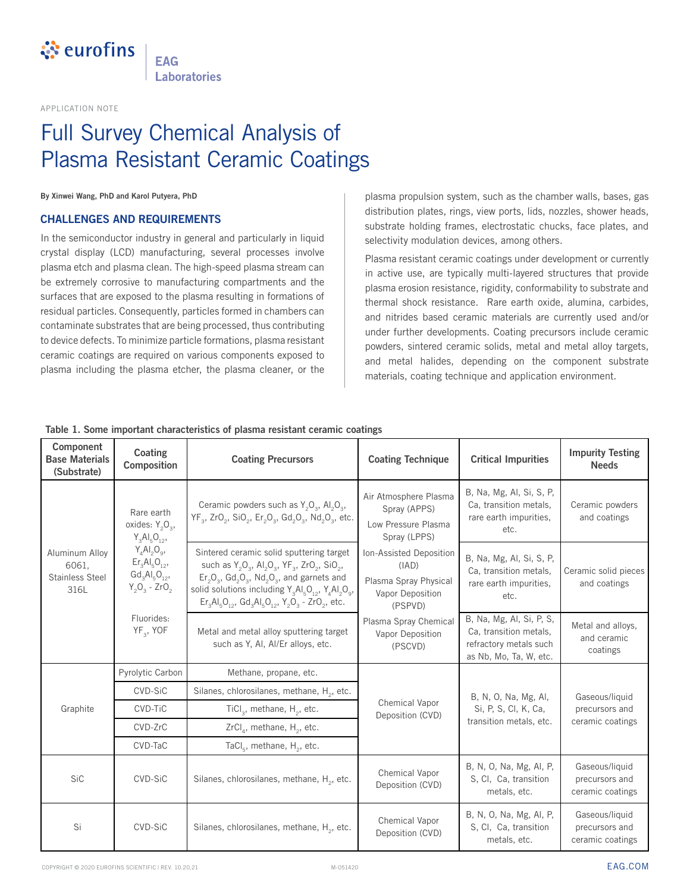

**FAG Laboratories** 

APPLICATION NOTE

## Full Survey Chemical Analysis of Plasma Resistant Ceramic Coatings

**By Xinwei Wang, PhD and Karol Putyera, PhD**

### **CHALLENGES AND REQUIREMENTS**

In the semiconductor industry in general and particularly in liquid crystal display (LCD) manufacturing, several processes involve plasma etch and plasma clean. The high-speed plasma stream can be extremely corrosive to manufacturing compartments and the surfaces that are exposed to the plasma resulting in formations of residual particles. Consequently, particles formed in chambers can contaminate substrates that are being processed, thus contributing to device defects. To minimize particle formations, plasma resistant ceramic coatings are required on various components exposed to plasma including the plasma etcher, the plasma cleaner, or the

plasma propulsion system, such as the chamber walls, bases, gas distribution plates, rings, view ports, lids, nozzles, shower heads, substrate holding frames, electrostatic chucks, face plates, and selectivity modulation devices, among others.

Plasma resistant ceramic coatings under development or currently in active use, are typically multi-layered structures that provide plasma erosion resistance, rigidity, conformability to substrate and thermal shock resistance. Rare earth oxide, alumina, carbides, and nitrides based ceramic materials are currently used and/or under further developments. Coating precursors include ceramic powders, sintered ceramic solids, metal and metal alloy targets, and metal halides, depending on the component substrate materials, coating technique and application environment.

| Component<br><b>Base Materials</b><br>(Substrate)         | Coating<br>Composition                                                                                                                                       | <b>Coating Precursors</b>                                                                                                                                                                                                                                                                            | <b>Coating Technique</b>                                                                 | <b>Critical Impurities</b>                                                                             | <b>Impurity Testing</b><br><b>Needs</b>              |
|-----------------------------------------------------------|--------------------------------------------------------------------------------------------------------------------------------------------------------------|------------------------------------------------------------------------------------------------------------------------------------------------------------------------------------------------------------------------------------------------------------------------------------------------------|------------------------------------------------------------------------------------------|--------------------------------------------------------------------------------------------------------|------------------------------------------------------|
| Aluminum Alloy<br>6061.<br><b>Stainless Steel</b><br>316L | Rare earth<br>oxides: $Y_2O_3$ ,<br>$Y_3Al_5O_{12}$<br>$Y_4AI_2O_9$<br>$Er3Al5O12$<br>$Gd_{3}Al_{5}O_{12}$<br>$Y_2O_3 - ZrO_2$<br>Fluorides:<br>$YF_3$ , YOF | Ceramic powders such as $Y_2O_3$ , Al <sub>2</sub> O <sub>3</sub> ,<br>YF <sub>3</sub> , ZrO <sub>2</sub> , SiO <sub>2</sub> , Er <sub>2</sub> O <sub>3</sub> , Gd <sub>2</sub> O <sub>3</sub> , Nd <sub>2</sub> O <sub>3</sub> , etc.                                                               | Air Atmosphere Plasma<br>Spray (APPS)<br>Low Pressure Plasma<br>Spray (LPPS)             | B, Na, Mg, Al, Si, S, P,<br>Ca, transition metals,<br>rare earth impurities.<br>etc.                   | Ceramic powders<br>and coatings                      |
|                                                           |                                                                                                                                                              | Sintered ceramic solid sputtering target<br>such as $Y_2O_3$ , $Al_2O_3$ , $YF_3$ , $ZrO_2$ , $SiO_2$ ,<br>$Er_2O_3$ , $Gd_2O_3$ , $Nd_2O_3$ , and garnets and<br>solid solutions including $Y_a A I_b O_{12}$ , $Y_a A I_2 O_{9}$ ,<br>$Er3Al5O12$ , $Gd3Al5O12$ , $Y2O3$ - ZrO <sub>2</sub> , etc. | Ion-Assisted Deposition<br>(IAD)<br>Plasma Spray Physical<br>Vapor Deposition<br>(PSPVD) | B, Na, Mg, Al, Si, S, P,<br>Ca, transition metals,<br>rare earth impurities.<br>etc.                   | Ceramic solid pieces<br>and coatings                 |
|                                                           |                                                                                                                                                              | Metal and metal alloy sputtering target<br>such as Y, AI, AI/Er alloys, etc.                                                                                                                                                                                                                         | Plasma Spray Chemical<br>Vapor Deposition<br>(PSCVD)                                     | B, Na, Mg, Al, Si, P, S,<br>Ca, transition metals,<br>refractory metals such<br>as Nb, Mo, Ta, W, etc. | Metal and alloys,<br>and ceramic<br>coatings         |
| Graphite                                                  | Pyrolytic Carbon                                                                                                                                             | Methane, propane, etc.                                                                                                                                                                                                                                                                               |                                                                                          | B, N, O, Na, Mg, Al,<br>Si, P, S, Cl, K, Ca,<br>transition metals, etc.                                | Gaseous/liquid<br>precursors and<br>ceramic coatings |
|                                                           | CVD-SiC                                                                                                                                                      | Silanes, chlorosilanes, methane, H <sub>2</sub> , etc.                                                                                                                                                                                                                                               |                                                                                          |                                                                                                        |                                                      |
|                                                           | CVD-TiC                                                                                                                                                      | TiCl <sub>3</sub> , methane, $H_2$ , etc.                                                                                                                                                                                                                                                            | Chemical Vapor<br>Deposition (CVD)                                                       |                                                                                                        |                                                      |
|                                                           | CVD-ZrC                                                                                                                                                      | $ZrClA$ , methane, H <sub>2</sub> , etc.                                                                                                                                                                                                                                                             |                                                                                          |                                                                                                        |                                                      |
|                                                           | CVD-TaC                                                                                                                                                      | TaCl <sub>5</sub> , methane, $H_2$ , etc.                                                                                                                                                                                                                                                            |                                                                                          |                                                                                                        |                                                      |
| <b>SiC</b>                                                | CVD-SiC                                                                                                                                                      | Silanes, chlorosilanes, methane, H <sub>2</sub> , etc.                                                                                                                                                                                                                                               | Chemical Vapor<br>Deposition (CVD)                                                       | B, N, O, Na, Mg, Al, P,<br>S, Cl, Ca, transition<br>metals, etc.                                       | Gaseous/liquid<br>precursors and<br>ceramic coatings |
| Si                                                        | CVD-SiC                                                                                                                                                      | Silanes, chlorosilanes, methane, H <sub>2</sub> , etc.                                                                                                                                                                                                                                               | Chemical Vapor<br>Deposition (CVD)                                                       | B, N, O, Na, Mg, Al, P,<br>S, Cl, Ca, transition<br>metals, etc.                                       | Gaseous/liquid<br>precursors and<br>ceramic coatings |

#### **Table 1. Some important characteristics of plasma resistant ceramic coatings**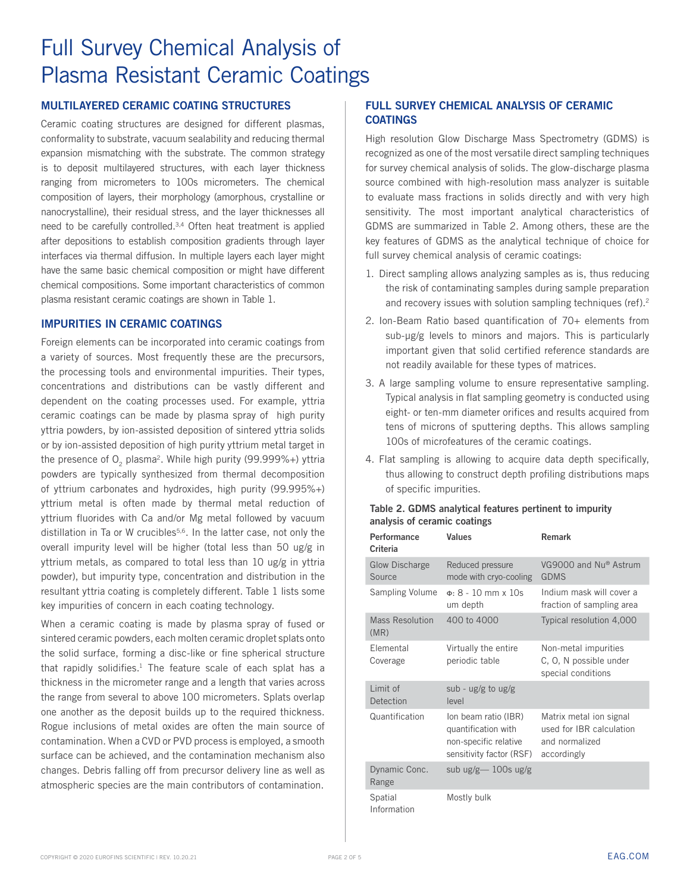## **MULTILAYERED CERAMIC COATING STRUCTURES**

Ceramic coating structures are designed for different plasmas, conformality to substrate, vacuum sealability and reducing thermal expansion mismatching with the substrate. The common strategy is to deposit multilayered structures, with each layer thickness ranging from micrometers to 100s micrometers. The chemical composition of layers, their morphology (amorphous, crystalline or nanocrystalline), their residual stress, and the layer thicknesses all need to be carefully controlled.3,4 Often heat treatment is applied after depositions to establish composition gradients through layer interfaces via thermal diffusion. In multiple layers each layer might have the same basic chemical composition or might have different chemical compositions. Some important characteristics of common plasma resistant ceramic coatings are shown in Table 1.

#### **IMPURITIES IN CERAMIC COATINGS**

Foreign elements can be incorporated into ceramic coatings from a variety of sources. Most frequently these are the precursors, the processing tools and environmental impurities. Their types, concentrations and distributions can be vastly different and dependent on the coating processes used. For example, yttria ceramic coatings can be made by plasma spray of high purity yttria powders, by ion-assisted deposition of sintered yttria solids or by ion-assisted deposition of high purity yttrium metal target in the presence of  $O<sub>2</sub>$  plasma<sup>2</sup>. While high purity (99.999%+) yttria powders are typically synthesized from thermal decomposition of yttrium carbonates and hydroxides, high purity (99.995%+) yttrium metal is often made by thermal metal reduction of yttrium fluorides with Ca and/or Mg metal followed by vacuum distillation in Ta or W crucibles<sup>5,6</sup>. In the latter case, not only the overall impurity level will be higher (total less than 50 ug/g in yttrium metals, as compared to total less than 10 ug/g in yttria powder), but impurity type, concentration and distribution in the resultant yttria coating is completely different. Table 1 lists some key impurities of concern in each coating technology.

When a ceramic coating is made by plasma spray of fused or sintered ceramic powders, each molten ceramic droplet splats onto the solid surface, forming a disc-like or fine spherical structure that rapidly solidifies. $1$  The feature scale of each splat has a thickness in the micrometer range and a length that varies across the range from several to above 100 micrometers. Splats overlap one another as the deposit builds up to the required thickness. Rogue inclusions of metal oxides are often the main source of contamination. When a CVD or PVD process is employed, a smooth surface can be achieved, and the contamination mechanism also changes. Debris falling off from precursor delivery line as well as atmospheric species are the main contributors of contamination.

### **FULL SURVEY CHEMICAL ANALYSIS OF CERAMIC COATINGS**

High resolution Glow Discharge Mass Spectrometry (GDMS) is recognized as one of the most versatile direct sampling techniques for survey chemical analysis of solids. The glow-discharge plasma source combined with high-resolution mass analyzer is suitable to evaluate mass fractions in solids directly and with very high sensitivity. The most important analytical characteristics of GDMS are summarized in Table 2. Among others, these are the key features of GDMS as the analytical technique of choice for full survey chemical analysis of ceramic coatings:

- 1. Direct sampling allows analyzing samples as is, thus reducing the risk of contaminating samples during sample preparation and recovery issues with solution sampling techniques (ref).<sup>2</sup>
- 2. Ion-Beam Ratio based quantification of 70+ elements from sub-µg/g levels to minors and majors. This is particularly important given that solid certified reference standards are not readily available for these types of matrices.
- 3. A large sampling volume to ensure representative sampling. Typical analysis in flat sampling geometry is conducted using eight- or ten-mm diameter orifices and results acquired from tens of microns of sputtering depths. This allows sampling 100s of microfeatures of the ceramic coatings.
- 4. Flat sampling is allowing to acquire data depth specifically, thus allowing to construct depth profiling distributions maps of specific impurities.

#### **Table 2. GDMS analytical features pertinent to impurity analysis of ceramic coatings**

**Performance** 

| Performance<br>Criteria         | Values                                                                                           | Remark                                                                               |  |  |
|---------------------------------|--------------------------------------------------------------------------------------------------|--------------------------------------------------------------------------------------|--|--|
| <b>Glow Discharge</b><br>Source | Reduced pressure<br>mode with cryo-cooling                                                       | VG9000 and Nu® Astrum<br><b>GDMS</b>                                                 |  |  |
| Sampling Volume                 | $\Phi$ : 8 - 10 mm x 10s<br>um depth                                                             | Indium mask will cover a<br>fraction of sampling area                                |  |  |
| <b>Mass Resolution</b><br>(MR)  | 400 to 4000                                                                                      | Typical resolution 4,000                                                             |  |  |
| Elemental<br>Coverage           | Virtually the entire<br>periodic table                                                           | Non-metal impurities<br>C, O, N possible under<br>special conditions                 |  |  |
| Limit of<br>Detection           | sub - $ug/g$ to $ug/g$<br>level                                                                  |                                                                                      |  |  |
| Quantification                  | Ion beam ratio (IBR)<br>quantification with<br>non-specific relative<br>sensitivity factor (RSF) | Matrix metal ion signal<br>used for IBR calculation<br>and normalized<br>accordingly |  |  |
| Dynamic Conc.<br>Range          | sub $\lg$ /g $-$ 100s $\lg$ /g                                                                   |                                                                                      |  |  |
| Spatial<br>Information          | Mostly bulk                                                                                      |                                                                                      |  |  |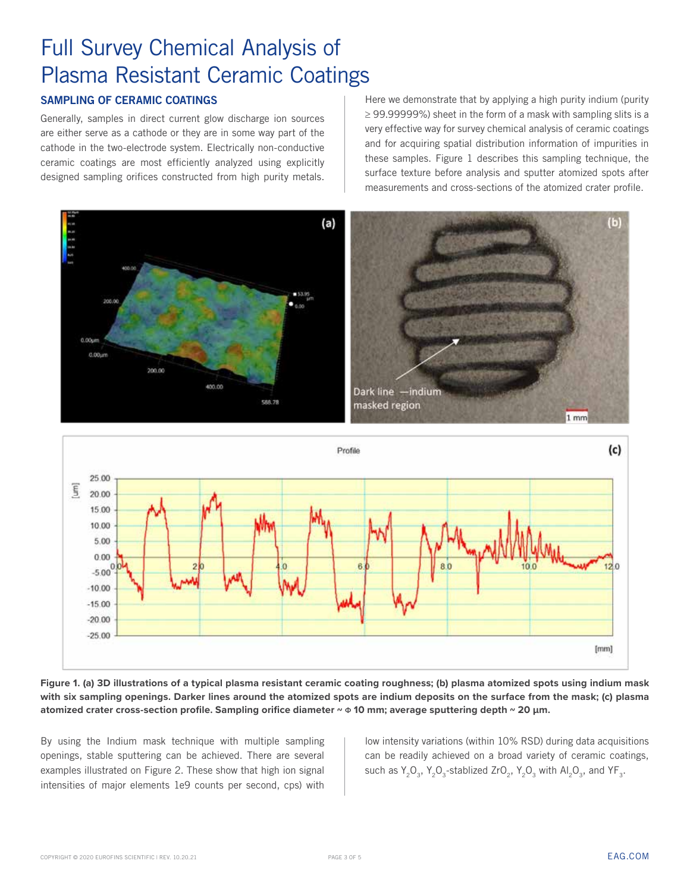## **SAMPLING OF CERAMIC COATINGS**

Generally, samples in direct current glow discharge ion sources are either serve as a cathode or they are in some way part of the cathode in the two-electrode system. Electrically non-conductive ceramic coatings are most efficiently analyzed using explicitly designed sampling orifices constructed from high purity metals.

Here we demonstrate that by applying a high purity indium (purity  $\geq$  99.99999%) sheet in the form of a mask with sampling slits is a very effective way for survey chemical analysis of ceramic coatings and for acquiring spatial distribution information of impurities in these samples. Figure 1 describes this sampling technique, the surface texture before analysis and sputter atomized spots after measurements and cross-sections of the atomized crater profile.





**Figure 1. (a) 3D illustrations of a typical plasma resistant ceramic coating roughness; (b) plasma atomized spots using indium mask with six sampling openings. Darker lines around the atomized spots are indium deposits on the surface from the mask; (c) plasma atomized crater cross-section profile. Sampling orifice diameter ~** Ф **10 mm; average sputtering depth ~ 20 µm.**

By using the Indium mask technique with multiple sampling openings, stable sputtering can be achieved. There are several examples illustrated on Figure 2. These show that high ion signal intensities of major elements 1e9 counts per second, cps) with

low intensity variations (within 10% RSD) during data acquisitions can be readily achieved on a broad variety of ceramic coatings, such as  $Y_2O_3$ ,  $Y_3O_3$ -stablized ZrO $_3$ ,  $Y_2O_3$  with Al<sub>2</sub>O<sub>2</sub>, and YF<sub>2</sub>.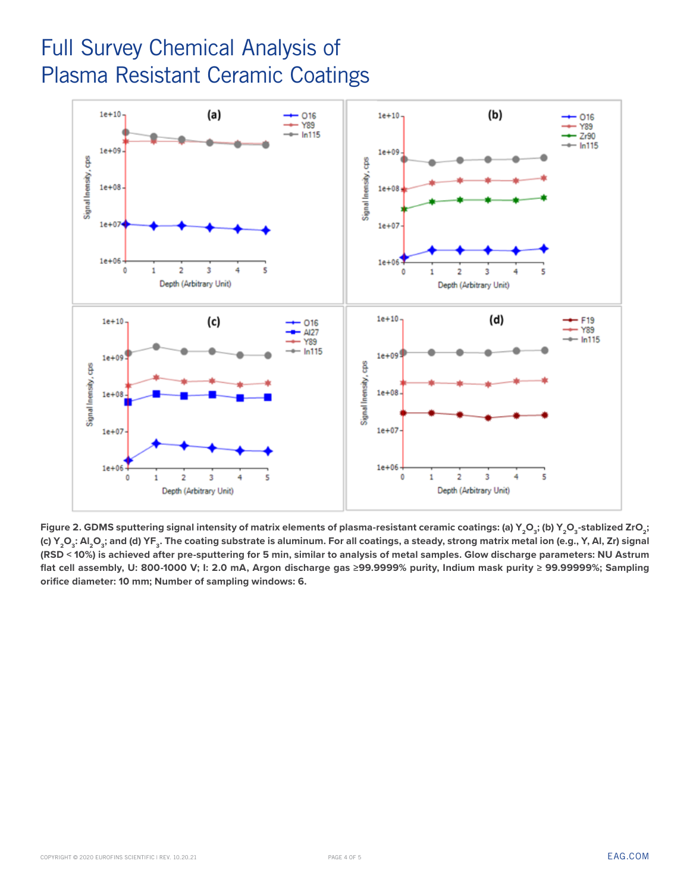

Figure 2. GDMS sputtering signal intensity of matrix elements of plasma-resistant ceramic coatings: (a) Y<sub>2</sub>O<sub>3</sub>; (b) Y<sub>2</sub>O<sub>3</sub>-stablized ZrO<sub>2</sub>; (c) Y<sub>2</sub>O<sub>3</sub>: Al<sub>2</sub>O<sub>3</sub>; and (d) YF<sub>3</sub>. The coating substrate is aluminum. For all coatings, a steady, strong matrix metal ion (e.g., Y, Al, Zr) signal **(RSD < 10%) is achieved after pre-sputtering for 5 min, similar to analysis of metal samples. Glow discharge parameters: NU Astrum flat cell assembly, U: 800-1000 V; I: 2.0 mA, Argon discharge gas ≥99.9999% purity, Indium mask purity ≥ 99.99999%; Sampling orifice diameter: 10 mm; Number of sampling windows: 6.**